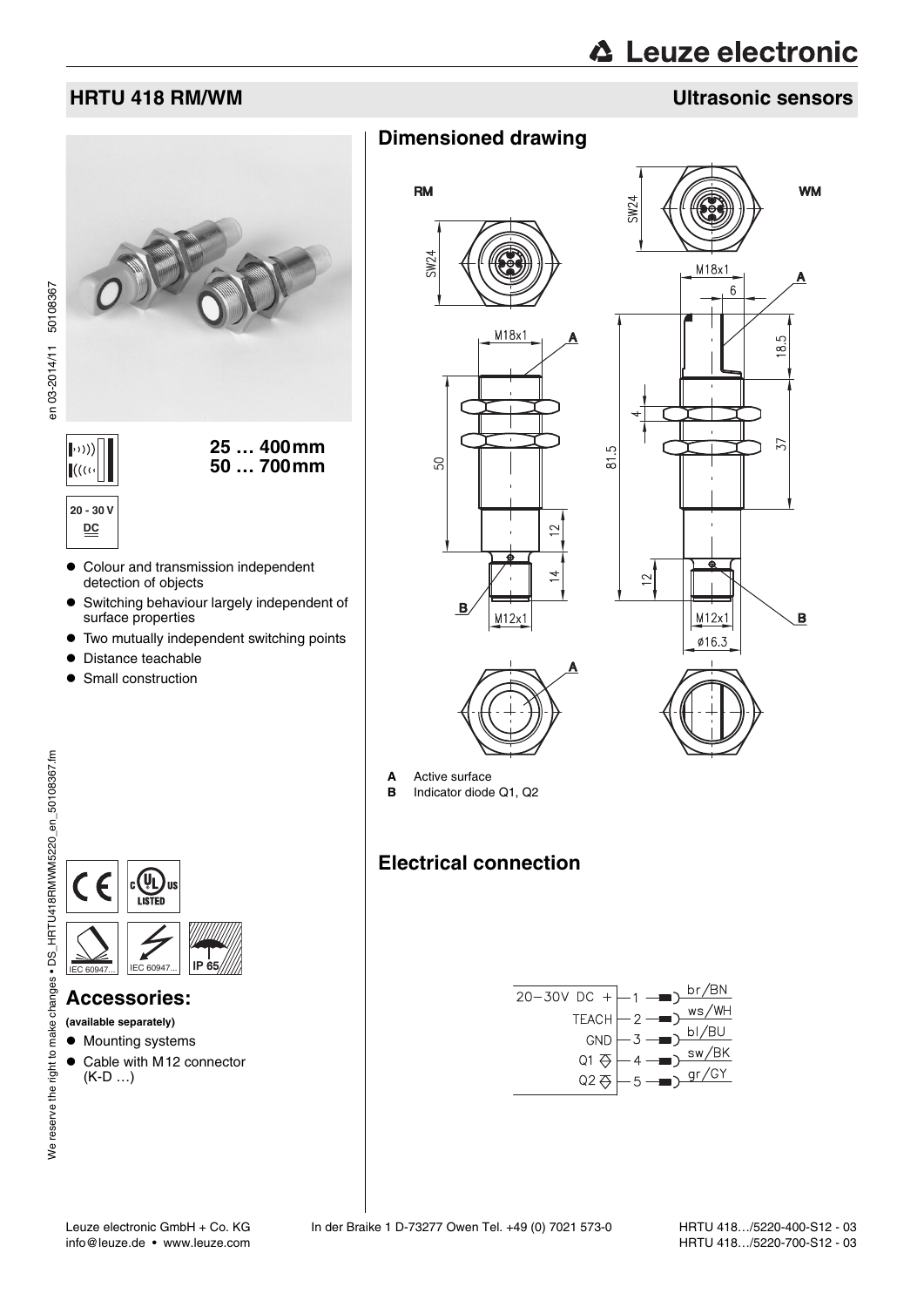# **△ Leuze electronic**

### **HRTU 418 RM/WM Ultrasonic sensors**



# **Dimensioned drawing**









- 
- **A** Active surface
- **B** Indicator diode Q1, Q2

## **Electrical connection**



We reserve the right to make changes • DS\_HRTU418RMWM5220\_en\_50108367.fm en 19RMW5220\_en DS\_HRTU418RMWM5267.fm en 03-2014/11 50108367 We reserve the right to make changes . DS\_HRTU418RMWM5220\_en\_50108367.fm

en 03-2014/11 50108367



### **Accessories:**

**(available separately)**

- $\bullet$  Mounting systems
- Cable with M12 connector (K-D …)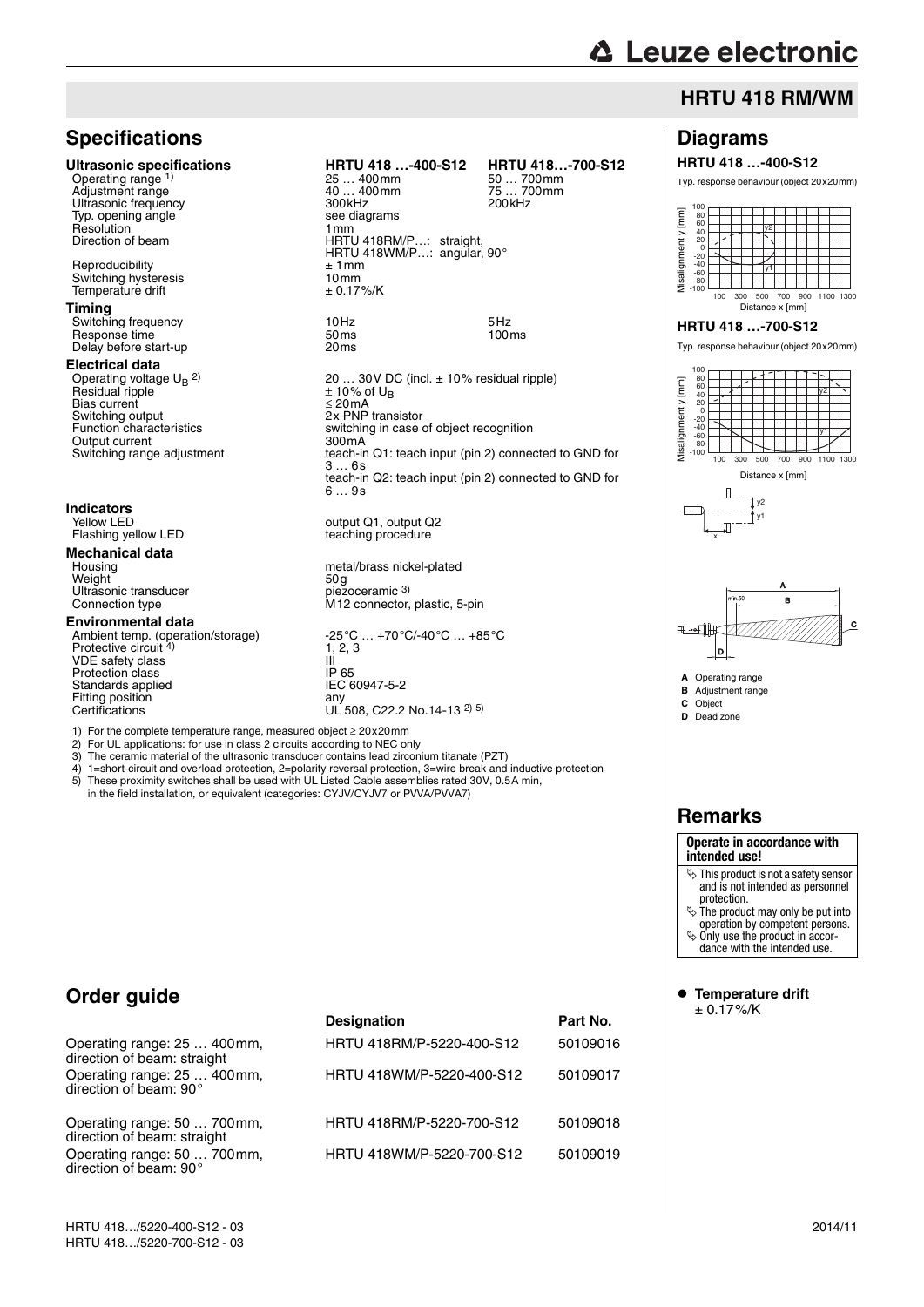# **△ Leuze electronic**

## **HRTU 418 RM/WM**

### **Specifications**

Operating range 1) Ultrasonic frequency<br>
Typ. opening angle<br>
2008 See diagrams Typ. opening angle see diagrams see diagrams see diagrams see diagrams see diagrams see diagrams see diagrams <br>Resolution Resolution<br>Direction of beam

Reproducibility<br>
Switching hysteresis<br>
Temperature drift<br>  $\pm 1$  mm<br>  $\pm 0.17\%$ /K Switching hysteresis 10mm Temperature drift ± 0.17%/K

### **Timing**

Switching frequency 10Hz 5Hz Response time 50ms 100ms Delay before start-up 20ms

### **Electrical data**

Operating voltage  $U_B$  <sup>2)</sup> Residual ripple Bias current<br>Switching output Suite of the system of the system of the system of the system of the system of the system of the system of the system of the system of the system of the system of the system of the system of the system of the system of th Output current<br>Switching range adjustment

# **Indicators**

**Mechanical data**  Weight Viens Ultrasonic transducer and the state of the society of the society of the society of the society of the society of the society of the society of the society of the society of the society of the society of the s Ultrasonic transducer<br>Connection type

### **Environmental data**

Protective circuit<sup>4)</sup> VDE safety class III Protection class and in the UP 65<br>Standards applied Communication CD 12 15 FC 60947-5-2 Standards applied IEC<br>Fitting position any Fitting position<br>Certifications

**Ultrasonic specifications HRTU 418 ...-400-S12 HRTU 418...-700-S12**<br>Operating range <sup>1)</sup> 25 ... 400mm 25 ... 700mm 25 ... 700mm

25 … 400mm 50 … 700mm Adjustment range 1980 metal was died wat also waar alleged was die 40 … 400mm 40 mm 40 mm 400mm 400mm 400mm 40<br>Adjustment van die 1990 mm 400mm 400mm 400mm 400mm 400mm 400mm 400mm 400mm 400mm 400mm 400mm 400mm 400mm 400mm Direction of beam HRTU 418RM/P…: straight, HRTU 418WM/P…: angular, 90°

20 ... 30 V DC (incl.  $\pm$  10% residual ripple)<br> $\pm$  10% of U<sub>B</sub> EAT WE BRUCCO.<br>Switching in case of object recognition<br>300mA section.  $3...6s$ teach-in Q2: teach input (pin 2) connected to GND for 6 … 9s

Yellow LED output Q1, output Q2<br>
Flashing yellow LED teaching procedure teaching procedure

> metal/brass nickel-plated<br>50 g M12 connector, plastic, 5-pin

Ambient temp. (operation/storage) -25°C ... +70°C/-40°C ... +85°C  $1, 2, 3$  $UL$  508, C22.2 No.14-13 2) 5)

1) For the complete temperature range, measured object ≥ 20x20mm

2) For UL applications: for use in class 2 circuits according to NEC only<br>3) The ceramic material of the ultrasonic transducer contains lead zircon

3) The ceramic material of the ultrasonic transducer contains lead zirconium titanate (PZT)<br>4)  $1 =$ short-circuit and overload protection  $2 =$ polarity reversal protection  $3 =$ wire break and

- 4) 1=short-circuit and overload protection, 2=polarity reversal protection, 3=wire break and inductive protection
- 5) These proximity switches shall be used with UL Listed Cable assemblies rated 30V, 0.5A min, in the field installation, or equivalent (categories: CYJV/CYJV7 or PVVA/PVVA7)

### **Order guide**

direction of beam: 90°

|                                                            | <b>Designation</b>        | Part No. |
|------------------------------------------------------------|---------------------------|----------|
| Operating range: 25  400mm,<br>direction of beam: straight | HRTU 418RM/P-5220-400-S12 | 50109016 |
| Operating range: 25  400mm,<br>direction of beam: 90°      | HRTU 418WM/P-5220-400-S12 | 50109017 |
| Operating range: 50  700mm,<br>direction of beam: straight | HRTU 418RM/P-5220-700-S12 | 50109018 |
| Operating range: 50  700mm,                                | HRTU 418WM/P-5220-700-S12 | 50109019 |

### **Diagrams**

### **HRTU 418 …-400-S12**

Typ. response behaviour (object 20x20mm)



## **Remarks**

### **Operate in accordance with intended use!**  $\&$  This product is not a safety sensor

- and is not intended as personnel protection.
- $\&$  The product may only be put into

operation by competent persons.  $\ddot{\phi}$  Only use the product in accor-

dance with the intended use.

 **Temperature drift** ± 0.17%/K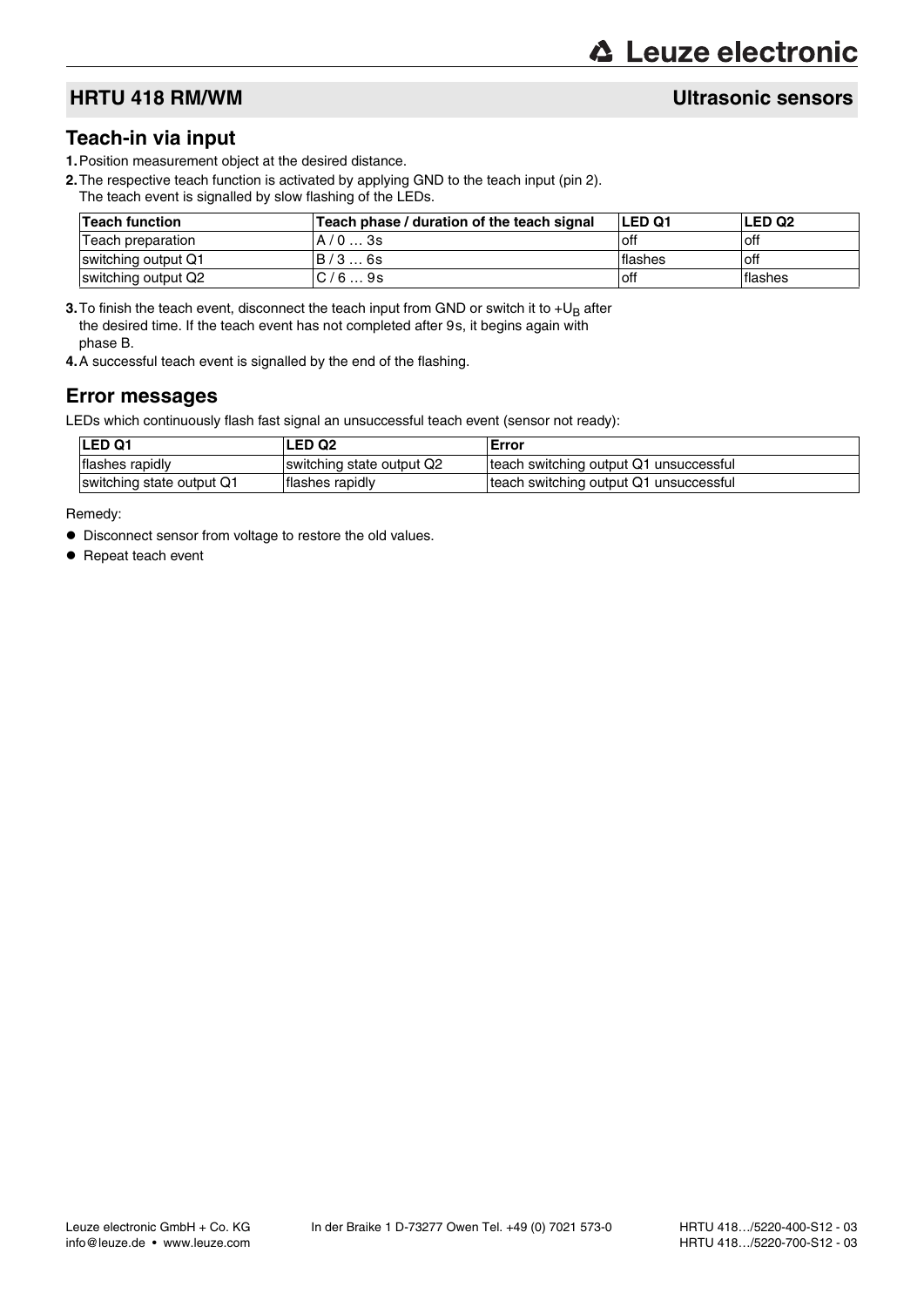### **Teach-in via input**

- **1.**Position measurement object at the desired distance.
- **2.**The respective teach function is activated by applying GND to the teach input (pin 2). The teach event is signalled by slow flashing of the LEDs.

| Teach function      | Teach phase / duration of the teach signal | <b>LED Q1</b> | <b>LED Q2</b> |
|---------------------|--------------------------------------------|---------------|---------------|
| Teach preparation   | A/03s                                      | off           | off           |
| switching output Q1 | B/36s                                      | lflashes      | ∣off          |
| switching output Q2 | C/69s                                      | ∣off          | lflashes      |

**3.** To finish the teach event, disconnect the teach input from GND or switch it to  $+U_B$  after the desired time. If the teach event has not completed after 9s, it begins again with phase B.

**4.**A successful teach event is signalled by the end of the flashing.

### **Error messages**

LEDs which continuously flash fast signal an unsuccessful teach event (sensor not ready):

| <b>LED Q1</b>             | LED Q2                    | Error                                  |
|---------------------------|---------------------------|----------------------------------------|
| flashes rapidly           | switching state output Q2 | teach switching output Q1 unsuccessful |
| switching state output Q1 | flashes rapidly           | teach switching output Q1 unsuccessful |

Remedy:

- $\bullet$  Disconnect sensor from voltage to restore the old values.
- Repeat teach event